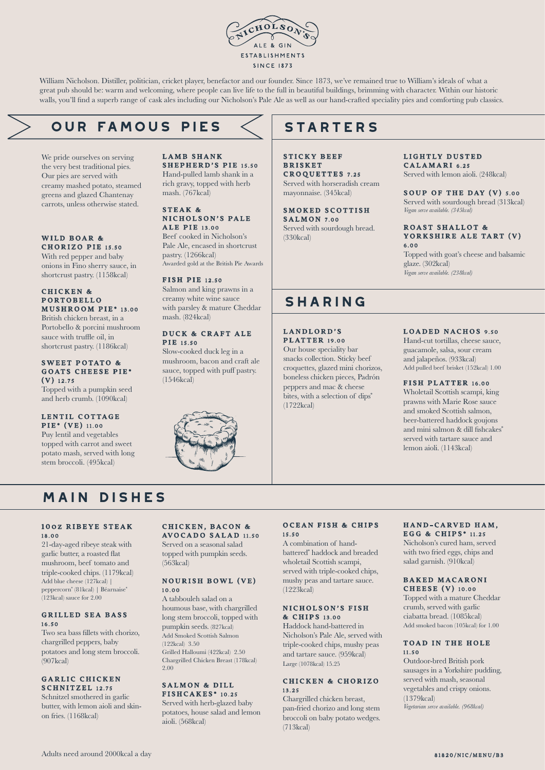

William Nicholson. Distiller, politician, cricket player, benefactor and our founder. Since 1873, we've remained true to William's ideals of what a great pub should be: warm and welcoming, where people can live life to the full in beautiful buildings, brimming with character. Within our historic walls, you'll find a superb range of cask ales including our Nicholson's Pale Ale as well as our hand-crafted speciality pies and comforting pub classics.

# **our famous PIES**

We pride ourselves on serving the very best traditional pies. Our pies are served with creamy mashed potato, steamed greens and glazed Chantenay carrots, unless otherwise stated.

#### WILD BOAR & CHORIZO PIE 15.50

With red pepper and baby onions in Fino sherry sauce, in shortcrust pastry. (1158kcal)

#### CHICKEN & P ORTOBELLO MUSHROOM PIE\* 13.00

British chicken breast, in a Portobello & porcini mushroom sauce with truffle oil, in shortcrust pastry. (1186kcal)

#### SWEET POTATO & GOATS CHEESE PIE\* (V) 12.75

Topped with a pumpkin seed and herb crumb. (1090kcal)

#### LENTIL COTTAGE PIE\* (VE) 11.00

Puy lentil and vegetables topped with carrot and sweet potato mash, served with long stem broccoli. (495kcal)

#### LAMB SHANK SHEPHERD'S PIE 15.50 Hand-pulled lamb shank in a rich gravy, topped with herb mash. (767kcal)

#### STEAK & NICHOLSON'S PALE ALE PIE 13.00

Beef cooked in Nicholson's Pale Ale, encased in shortcrust pastry. (1266kcal) Awarded gold at the British Pie Awards

#### FISH PIE 12.50

Salmon and king prawns in a creamy white wine sauce with parsley & mature Cheddar mash. (824kcal)

#### DUCK & CRAFT ALE **PIR** 15.50

Slow-cooked duck leg in a mushroom, bacon and craft ale sauce, topped with puff pastry. (1546kcal)



# **STARTERS**

STICKY BEEF **BRISKET** CROQUETTES 7.25 Served with horseradish cream mayonnaise. (345kcal)

SMOKED SCOTTISH  $S$  A L M O N  $7.00$ Served with sourdough bread. (330kcal)

### LIGHTLY DUSTED

CALAMARI 6.25 Served with lemon aioli. (248kcal)

#### SOUP OF THE DAY (V) 5.00 Served with sourdough bread (313kcal) *Vegan serve available. (345kcal)*

#### ROAST SHALLOT & YORKSHIRE ALE TART (V) 6.00

Topped with goat's cheese and balsamic glaze. (302kcal) *Vegan serve available. (238kcal)*

# **sharing**

LANDLORD'S **PLATTER** 19.00

Our house speciality bar snacks collection. Sticky beef croquettes, glazed mini chorizos, boneless chicken pieces, Padrón peppers and mac & cheese bites, with a selection of dips<sup>\*</sup> (1722kcal)

#### LOADED NACHOS 9.50

Hand-cut tortillas, cheese sauce, guacamole, salsa, sour cream and jalapeños. (933kcal) Add pulled beef brisket (152kcal) 1.00

#### FISH PLATTER 16.00

Wholetail Scottish scampi, king prawns with Marie Rose sauce and smoked Scottish salmon, beer-battered haddock goujons and mini salmon & dill fishcakes\* served with tartare sauce and lemon aioli. (1143kcal)

# **main dishes**

#### 100Z RIBEYE STEAK 18.00

21-day-aged ribeye steak with garlic butter, a roasted flat mushroom, beef tomato and triple-cooked chips. (1179kcal) Add blue cheese (127kcal) | peppercorn\* (81kcal) | Béarnaise\* (123kcal) sauce for 2.00

#### **GRILLED SEA BASS** 16.50

Two sea bass fillets with chorizo, chargrilled peppers, baby potatoes and long stem broccoli.  $(907$ kcal)

#### GARLIC CHICKEN SCHNITZEL 12.75

Schnitzel smothered in garlic butter, with lemon aioli and skinon fries. (1168kcal)

#### CHICKEN, BACON & AVOCADO SALAD 11.50

Served on a seasonal salad topped with pumpkin seeds. (563kcal)

#### NOURISH BOWL (VE) 10.00

A tabbouleh salad on a houmous base, with chargrilled long stem broccoli, topped with pumpkin seeds. (827kcal) Add Smoked Scottish Salmon (122kcal) 3.50 Grilled Halloumi (422kcal) 2.50 Chargrilled Chicken Breast (178kcal) 2.00

#### SALMON & DILL FISHCAKES\* 10.25

Served with herb-glazed baby potatoes, house salad and lemon aioli. (568kcal)

#### OCEAN FISH & CHIPS 15.50

A combination of handbattered\* haddock and breaded wholetail Scottish scampi, served with triple-cooked chips, mushy peas and tartare sauce. (1223kcal)

#### NICHOLSON'S FISH & C HIPS 13.00

Haddock hand-battered in Nicholson's Pale Ale, served with triple-cooked chips, mushy peas and tartare sauce. (959kcal) Large (1078kcal) 15.25

#### CHICKEN & CHORIZO 13.25

Chargrilled chicken breast pan-fried chorizo and long stem broccoli on baby potato wedges. (713kcal)

#### HAND-CARVED HAM. EGG & CHIPS<sup>\*</sup> 11.25

Nicholson's cured ham, served with two fried eggs, chips and salad garnish. (910kcal)

#### BAKED MACARONI CHEESE (V) 10.00

Topped with a mature Cheddar crumb, served with garlic ciabatta bread. (1085kcal) Add smoked bacon (105kcal) for 1.00

#### TOAD IN THE HOLE 11.50

Outdoor-bred British pork sausages in a Yorkshire pudding, served with mash, seasonal vegetables and crispy onions. (1379kcal) *Vegetarian serve available. (968kcal)*